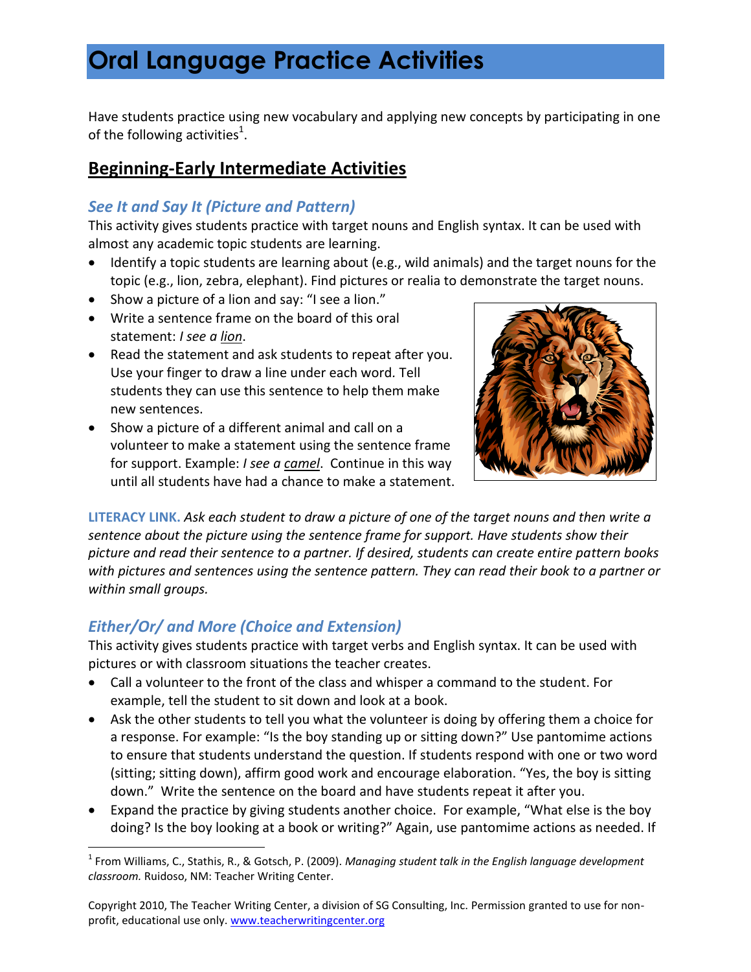Have students practice using new vocabulary and applying new concepts by participating in one of the following activities $^1$ .

### **Beginning-Early Intermediate Activities**

#### *See It and Say It (Picture and Pattern)*

This activity gives students practice with target nouns and English syntax. It can be used with almost any academic topic students are learning.

- Identify a topic students are learning about (e.g., wild animals) and the target nouns for the topic (e.g., lion, zebra, elephant). Find pictures or realia to demonstrate the target nouns.
- Show a picture of a lion and say: "I see a lion."
- Write a sentence frame on the board of this oral statement: *I see a lion*.
- Read the statement and ask students to repeat after you. Use your finger to draw a line under each word*.* Tell students they can use this sentence to help them make new sentences.
- Show a picture of a different animal and call on a volunteer to make a statement using the sentence frame for support. Example: *I see a camel*. Continue in this way until all students have had a chance to make a statement.



**LITERACY LINK.** *Ask each student to draw a picture of one of the target nouns and then write a sentence about the picture using the sentence frame for support. Have students show their picture and read their sentence to a partner. If desired, students can create entire pattern books with pictures and sentences using the sentence pattern. They can read their book to a partner or within small groups.* 

### *Either/Or/ and More (Choice and Extension)*

l

This activity gives students practice with target verbs and English syntax. It can be used with pictures or with classroom situations the teacher creates.

- Call a volunteer to the front of the class and whisper a command to the student. For example, tell the student to sit down and look at a book.
- Ask the other students to tell you what the volunteer is doing by offering them a choice for a response. For example: "Is the boy standing up or sitting down?" Use pantomime actions to ensure that students understand the question. If students respond with one or two word (sitting; sitting down), affirm good work and encourage elaboration. "Yes, the boy is sitting down."Write the sentence on the board and have students repeat it after you.
- Expand the practice by giving students another choice. For example, "What else is the boy doing? Is the boy looking at a book or writing?" Again, use pantomime actions as needed. If

<sup>1</sup> From Williams, C., Stathis, R., & Gotsch, P. (2009). *Managing student talk in the English language development classroom.* Ruidoso, NM: Teacher Writing Center.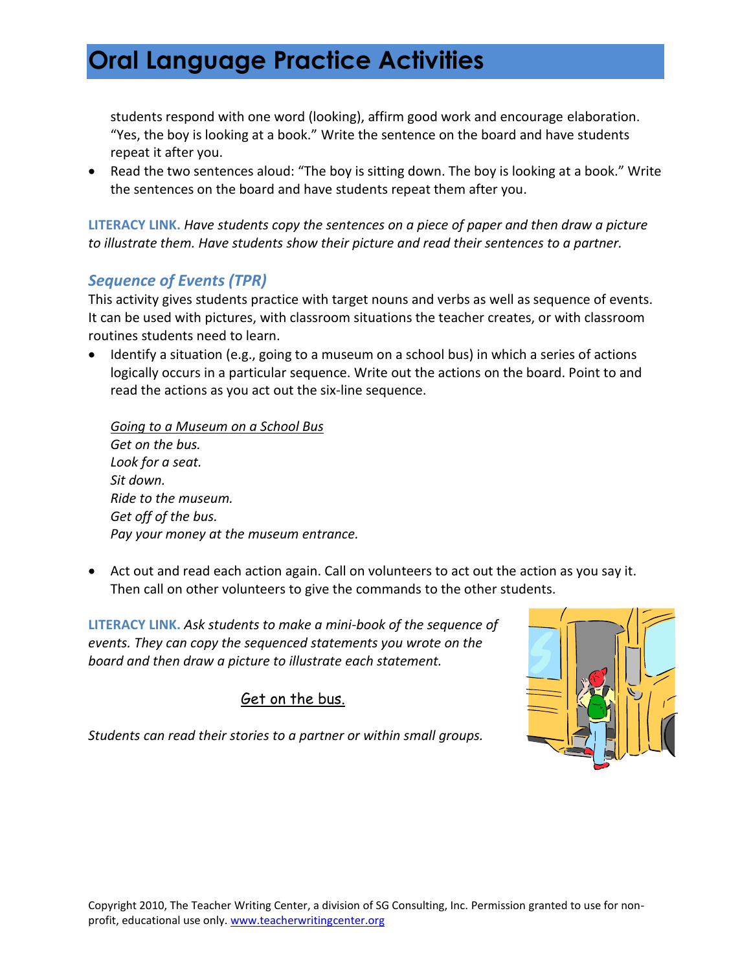students respond with one word (looking), affirm good work and encourage elaboration. "Yes, the boy is looking at a book." Write the sentence on the board and have students repeat it after you.

• Read the two sentences aloud: "The boy is sitting down. The boy is looking at a book." Write the sentences on the board and have students repeat them after you.

**LITERACY LINK.** *Have students copy the sentences on a piece of paper and then draw a picture to illustrate them. Have students show their picture and read their sentences to a partner.*

#### *Sequence of Events (TPR)*

This activity gives students practice with target nouns and verbs as well as sequence of events. It can be used with pictures, with classroom situations the teacher creates, or with classroom routines students need to learn.

 Identify a situation (e.g., going to a museum on a school bus) in which a series of actions logically occurs in a particular sequence. Write out the actions on the board. Point to and read the actions as you act out the six-line sequence.

*Going to a Museum on a School Bus Get on the bus. Look for a seat. Sit down. Ride to the museum. Get off of the bus. Pay your money at the museum entrance.*

 Act out and read each action again. Call on volunteers to act out the action as you say it. Then call on other volunteers to give the commands to the other students.

**LITERACY LINK.** *Ask students to make a mini-book of the sequence of events. They can copy the sequenced statements you wrote on the board and then draw a picture to illustrate each statement.*

#### Get on the bus.

*Students can read their stories to a partner or within small groups.* 

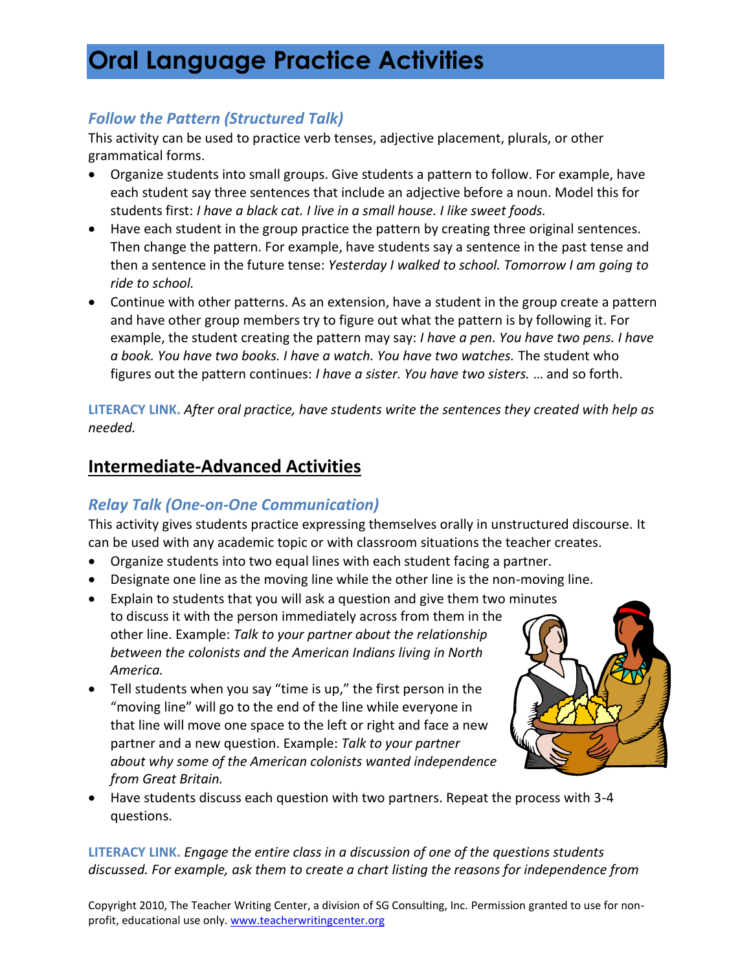#### *Follow the Pattern (Structured Talk)*

This activity can be used to practice verb tenses, adjective placement, plurals, or other grammatical forms.

- Organize students into small groups. Give students a pattern to follow. For example, have each student say three sentences that include an adjective before a noun. Model this for students first: *I have a black cat. I live in a small house. I like sweet foods.*
- Have each student in the group practice the pattern by creating three original sentences. Then change the pattern. For example, have students say a sentence in the past tense and then a sentence in the future tense: *Yesterday I walked to school. Tomorrow I am going to ride to school.*
- Continue with other patterns. As an extension, have a student in the group create a pattern and have other group members try to figure out what the pattern is by following it. For example, the student creating the pattern may say: *I have a pen. You have two pens. I have a book. You have two books. I have a watch. You have two watches.* The student who figures out the pattern continues: *I have a sister. You have two sisters.* … and so forth.

**LITERACY LINK.** *After oral practice, have students write the sentences they created with help as needed.* 

### **Intermediate-Advanced Activities**

*America.* 

### *Relay Talk (One-on-One Communication)*

This activity gives students practice expressing themselves orally in unstructured discourse. It can be used with any academic topic or with classroom situations the teacher creates.

- Organize students into two equal lines with each student facing a partner.
- Designate one line as the moving line while the other line is the non-moving line.
- Explain to students that you will ask a question and give them two minutes to discuss it with the person immediately across from them in the other line. Example: *Talk to your partner about the relationship between the colonists and the American Indians living in North*
- Tell students when you say "time is up," the first person in the "moving line" will go to the end of the line while everyone in that line will move one space to the left or right and face a new partner and a new question. Example: *Talk to your partner about why some of the American colonists wanted independence from Great Britain.*



 Have students discuss each question with two partners. Repeat the process with 3-4 questions.

**LITERACY LINK.** *Engage the entire class in a discussion of one of the questions students discussed. For example, ask them to create a chart listing the reasons for independence from* 

Copyright 2010, The Teacher Writing Center, a division of SG Consulting, Inc. Permission granted to use for nonprofit, educational use only. www.teacherwritingcenter.org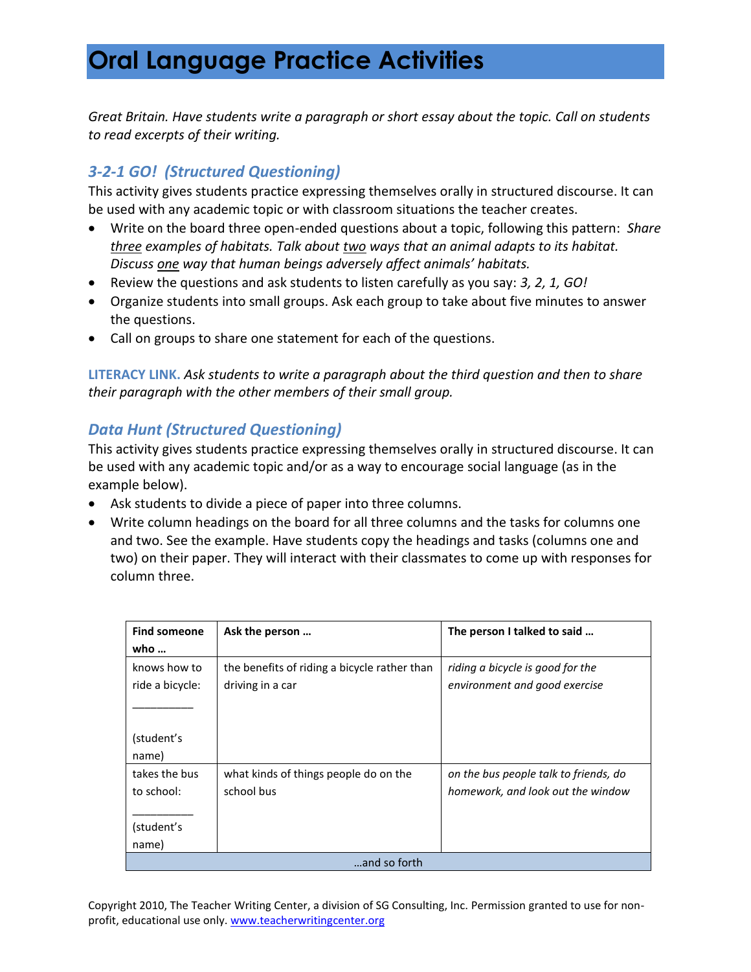*Great Britain. Have students write a paragraph or short essay about the topic. Call on students to read excerpts of their writing.* 

### *3-2-1 GO! (Structured Questioning)*

This activity gives students practice expressing themselves orally in structured discourse. It can be used with any academic topic or with classroom situations the teacher creates.

- Write on the board three open-ended questions about a topic, following this pattern: *Share three examples of habitats. Talk about two ways that an animal adapts to its habitat. Discuss one way that human beings adversely affect animals' habitats.*
- Review the questions and ask students to listen carefully as you say: *3, 2, 1, GO!*
- Organize students into small groups. Ask each group to take about five minutes to answer the questions.
- Call on groups to share one statement for each of the questions.

**LITERACY LINK.** *Ask students to write a paragraph about the third question and then to share their paragraph with the other members of their small group.* 

#### *Data Hunt (Structured Questioning)*

This activity gives students practice expressing themselves orally in structured discourse. It can be used with any academic topic and/or as a way to encourage social language (as in the example below).

- Ask students to divide a piece of paper into three columns.
- Write column headings on the board for all three columns and the tasks for columns one and two. See the example. Have students copy the headings and tasks (columns one and two) on their paper. They will interact with their classmates to come up with responses for column three.

| <b>Find someone</b> | Ask the person                               | The person I talked to said           |
|---------------------|----------------------------------------------|---------------------------------------|
| who $\ldots$        |                                              |                                       |
| knows how to        | the benefits of riding a bicycle rather than | riding a bicycle is good for the      |
| ride a bicycle:     | driving in a car                             | environment and good exercise         |
|                     |                                              |                                       |
|                     |                                              |                                       |
| (student's          |                                              |                                       |
| name)               |                                              |                                       |
| takes the bus       | what kinds of things people do on the        | on the bus people talk to friends, do |
| to school:          | school bus                                   | homework, and look out the window     |
|                     |                                              |                                       |
| (student's          |                                              |                                       |
| name)               |                                              |                                       |
| and so forth        |                                              |                                       |